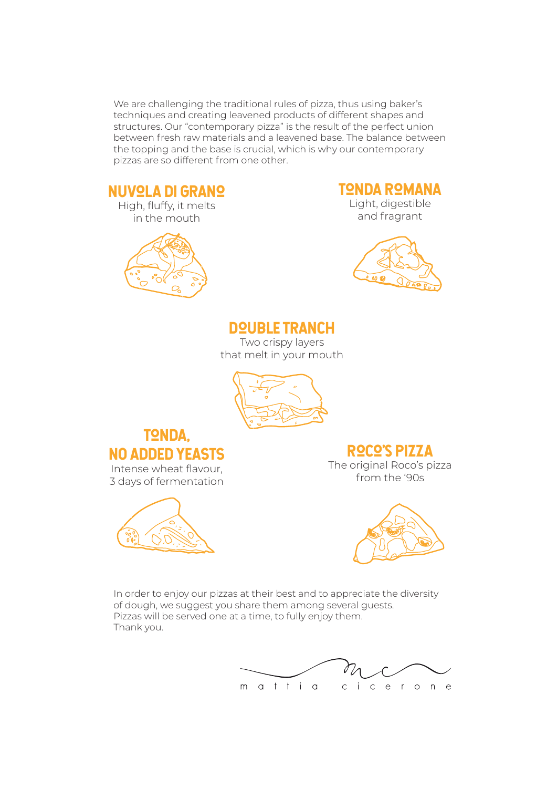We are challenging the traditional rules of pizza, thus using baker's techniques and creating leavened products of different shapes and structures. Our "contemporary pizza" is the result of the perfect union between fresh raw materials and a leavened base. The balance between the topping and the base is crucial, which is why our contemporary pizzas are so different from one other.

#### **NUVOLA DI GRANO**

High, fluffy, it melts in the mouth



#### TONDA ROMANA

Light, digestible and fragrant



#### DOUBLE TRANCH

Two crispy layers that melt in your mouth



#### **TONDA.** NO ADDED YEASTS Intense wheat flavour,

3 days of fermentation



#### roco's pizzA

The original Roco's pizza from the '90s



In order to enjoy our pizzas at their best and to appreciate the diversity of dough, we suggest you share them among several guests. Pizzas will be served one at a time, to fully enjoy them. Thank you.

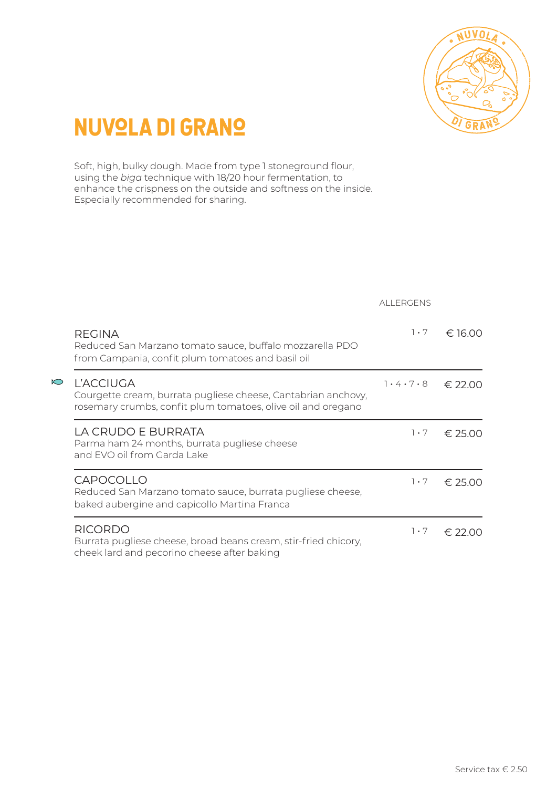

### **NUVQLA DI GRANO**

Soft, high, bulky dough. Made from type 1 stoneground flour, using the *biga* technique with 18/20 hour fermentation, to enhance the crispness on the outside and softness on the inside. Especially recommended for sharing.

|          |                                                                                                                                                   | ALL ERGENS  |         |
|----------|---------------------------------------------------------------------------------------------------------------------------------------------------|-------------|---------|
|          | <b>REGINA</b><br>Reduced San Marzano tomato sauce, buffalo mozzarella PDO<br>from Campania, confit plum tomatoes and basil oil                    | $1 \cdot 7$ | € 16.00 |
| $\infty$ | <b>L'ACCIUGA</b><br>Courgette cream, burrata pugliese cheese, Cantabrian anchovy,<br>rosemary crumbs, confit plum tomatoes, olive oil and oregano | 7.4.7.8     | € 22.00 |
|          | LA CRUDO E BURRATA<br>Parma ham 24 months, burrata pugliese cheese<br>and EVO oil from Garda Lake                                                 | $1 \cdot 7$ | € 25.00 |
|          | <b>CAPOCOLLO</b><br>Reduced San Marzano tomato sauce, burrata pugliese cheese,<br>baked aubergine and capicollo Martina Franca                    | $1 \cdot 7$ | € 25.00 |
|          | <b>RICORDO</b><br>Burrata pugliese cheese, broad beans cream, stir-fried chicory,<br>cheek lard and pecorino cheese after baking                  | $1 \cdot 7$ | € 22.00 |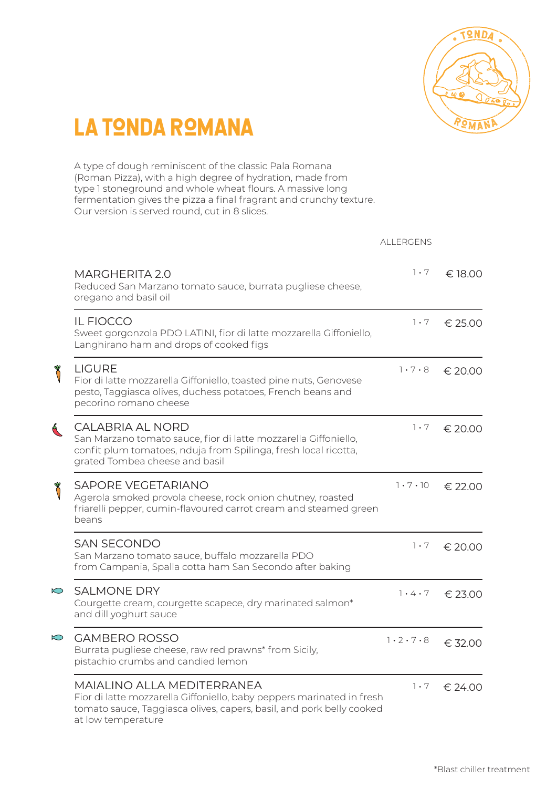

### LA TONDA ROMANA

A type of dough reminiscent of the classic Pala Romana (Roman Pizza), with a high degree of hydration, made from type 1 stoneground and whole wheat flours. A massive long fermentation gives the pizza a final fragrant and crunchy texture. Our version is served round, cut in 8 slices.

|               |                                                                                                                                                                                                   | <b>ALLERGENS</b>            |         |
|---------------|---------------------------------------------------------------------------------------------------------------------------------------------------------------------------------------------------|-----------------------------|---------|
|               | <b>MARGHERITA 2.0</b><br>Reduced San Marzano tomato sauce, burrata pugliese cheese,<br>oregano and basil oil                                                                                      | $1 \cdot 7$                 | € 18.00 |
|               | <b>IL FIOCCO</b><br>Sweet gorgonzola PDO LATINI, fior di latte mozzarella Giffoniello,<br>Langhirano ham and drops of cooked figs                                                                 | $1 \cdot 7$                 | € 25.00 |
|               | <b>LIGURE</b><br>Fior di latte mozzarella Giffoniello, toasted pine nuts, Genovese<br>pesto, Taggiasca olives, duchess potatoes, French beans and<br>pecorino romano cheese                       | $1 \cdot 7 \cdot 8$         | € 20.00 |
| $\mathcal{A}$ | CALABRIA AL NORD<br>San Marzano tomato sauce, fior di latte mozzarella Giffoniello,<br>confit plum tomatoes, nduja from Spilinga, fresh local ricotta,<br>grated Tombea cheese and basil          | $1 \cdot 7$                 | € 20.00 |
|               | <b>SAPORE VEGETARIANO</b><br>Agerola smoked provola cheese, rock onion chutney, roasted<br>friarelli pepper, cumin-flavoured carrot cream and steamed green<br>beans                              | $1 \cdot 7 \cdot 10$        | € 22.00 |
|               | <b>SAN SECONDO</b><br>San Marzano tomato sauce, buffalo mozzarella PDO<br>from Campania, Spalla cotta ham San Secondo after baking                                                                | $1 \cdot 7$                 | € 20.00 |
| $\bigcirc$    | <b>SALMONE DRY</b><br>Courgette cream, courgette scapece, dry marinated salmon*<br>and dill yoghurt sauce                                                                                         | $7 \cdot 4 \cdot 7$         | € 23.00 |
| $\bigcirc$    | <b>GAMBERO ROSSO</b><br>Burrata pugliese cheese, raw red prawns* from Sicily,<br>pistachio crumbs and candied lemon                                                                               | $1 \cdot 2 \cdot 7 \cdot 8$ | € 32.00 |
|               | MAIALINO ALLA MEDITERRANEA<br>Fior di latte mozzarella Giffoniello, baby peppers marinated in fresh<br>tomato sauce, Taggiasca olives, capers, basil, and pork belly cooked<br>at low temperature | $1 \cdot 7$                 | € 24.00 |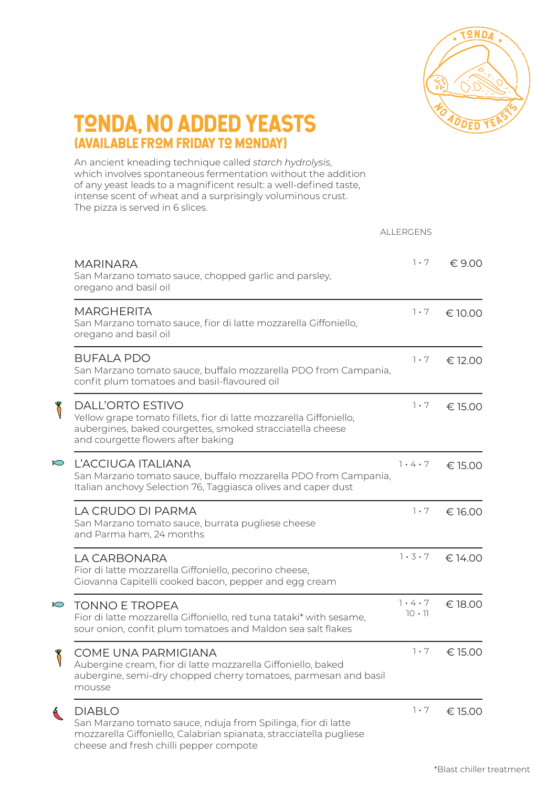

#### TONDA, NO ADDED YEASTS (AVAILABLE FROM FRIDAY TO MONDAY)

An ancient kneading technique called *starch hydrolysis*, which involves spontaneous fermentation without the addition of any yeast leads to a magnificent result: a well-defined taste, intense scent of wheat and a surprisingly voluminous crust. The pizza is served in 6 slices.

|            |                                                                                                                                                                                                  | <b>ALLERGENS</b>                     |         |
|------------|--------------------------------------------------------------------------------------------------------------------------------------------------------------------------------------------------|--------------------------------------|---------|
|            | <b>MARINARA</b><br>San Marzano tomato sauce, chopped garlic and parsley,<br>oregano and basil oil                                                                                                | $1 \cdot 7$                          | € 9.00  |
|            | <b>MARGHERITA</b><br>San Marzano tomato sauce, fior di latte mozzarella Giffoniello,<br>oregano and basil oil                                                                                    | $1 \cdot 7$                          | € 10.00 |
|            | <b>BUFALA PDO</b><br>San Marzano tomato sauce, buffalo mozzarella PDO from Campania,<br>confit plum tomatoes and basil-flavoured oil                                                             | $1 \cdot 7$                          | € 12.00 |
|            | <b>DALL'ORTO ESTIVO</b><br>Yellow grape tomato fillets, fior di latte mozzarella Giffoniello,<br>aubergines, baked courgettes, smoked stracciatella cheese<br>and courgette flowers after baking | $1 \cdot 7$                          | € 15.00 |
| $\sum$     | L'ACCIUGA ITALIANA<br>San Marzano tomato sauce, buffalo mozzarella PDO from Campania,<br>Italian anchovy Selection 76, Taggiasca olives and caper dust                                           | $7 \cdot 4 \cdot 7$                  | € 15.00 |
|            | LA CRUDO DI PARMA<br>San Marzano tomato sauce, burrata pugliese cheese<br>and Parma ham, 24 months                                                                                               | $1 \cdot 7$                          | € 16.00 |
|            | LA CARBONARA<br>Fior di latte mozzarella Giffoniello, pecorino cheese,<br>Giovanna Capitelli cooked bacon, pepper and egg cream                                                                  | 1.3.7                                | € 14.00 |
| $\bigcirc$ | <b>TONNO E TROPEA</b><br>Fior di latte mozzarella Giffoniello, red tuna tataki* with sesame,<br>sour onion, confit plum tomatoes and Maldon sea salt flakes                                      | $7 \cdot 4 \cdot 7$<br>$10 \cdot 11$ | € 18.00 |
|            | COME UNA PARMIGIANA<br>Aubergine cream, fior di latte mozzarella Giffoniello, baked<br>aubergine, semi-dry chopped cherry tomatoes, parmesan and basil<br>mousse                                 | $1 \cdot 7$                          | € 15.00 |
| $\alpha$   | <b>DIABLO</b><br>San Marzano tomato sauce, nduja from Spilinga, fior di latte<br>mozzarella Giffoniello, Calabrian spianata, stracciatella pugliese<br>cheese and fresh chilli pepper compote    | $1 \cdot 7$                          | € 15.00 |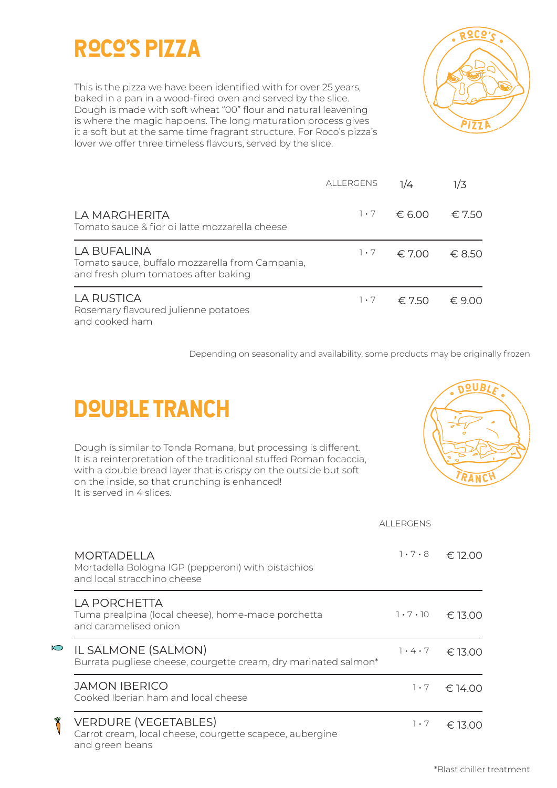### roco's pizza

This is the pizza we have been identified with for over 25 years, baked in a pan in a wood-fired oven and served by the slice. Dough is made with soft wheat "00" flour and natural leavening is where the magic happens. The long maturation process gives it a soft but at the same time fragrant structure. For Roco's pizza's lover we offer three timeless flavours, served by the slice.



|                                                                                                        | <b>ALLERGENS</b> | 1/4             | 1/3             |
|--------------------------------------------------------------------------------------------------------|------------------|-----------------|-----------------|
| LA MARGHERITA<br>Tomato sauce & fior di latte mozzarella cheese                                        | $1 \cdot 7$      | $\epsilon$ 6.00 | $\epsilon$ 7.50 |
| LA BUFALINA<br>Tomato sauce, buffalo mozzarella from Campania,<br>and fresh plum tomatoes after baking | $1 \cdot 7$      | ∈700            | $\epsilon$ 8.50 |
| LA RUSTICA<br>Rosemary flavoured julienne potatoes<br>and cooked ham                                   | $1 \cdot 7$      | $\epsilon$ 7.50 | $\n  6$ 9 00    |

Depending on seasonality and availability, some products may be originally frozen

# **DQUBLE TRANCH**

Dough is similar to Tonda Romana, but processing is different. It is a reinterpretation of the traditional stuffed Roman focaccia, with a double bread layer that is crispy on the outside but soft on the inside, so that crunching is enhanced! It is served in 4 slices.



|            |                                                                                                            | <b>ALLERGENS</b>     |         |
|------------|------------------------------------------------------------------------------------------------------------|----------------------|---------|
|            | <b>MORTADELLA</b><br>Mortadella Bologna IGP (pepperoni) with pistachios<br>and local stracchino cheese     | $1 \cdot 7 \cdot 8$  | € 12.00 |
|            | LA PORCHETTA<br>Tuma prealpina (local cheese), home-made porchetta<br>and caramelised onion                | $1 \cdot 7 \cdot 10$ | € 13.00 |
| $\bigcirc$ | IL SALMONE (SALMON)<br>Burrata pugliese cheese, courgette cream, dry marinated salmon*                     | $7 \cdot 4 \cdot 7$  | € 13.00 |
|            | <b>JAMON IBERICO</b><br>Cooked Iberian ham and local cheese                                                | $1 \cdot 7$          | € 14.00 |
|            | <b>VERDURE (VEGETABLES)</b><br>Carrot cream, local cheese, courgette scapece, aubergine<br>and green beans | $1 \cdot 7$          | € 13.00 |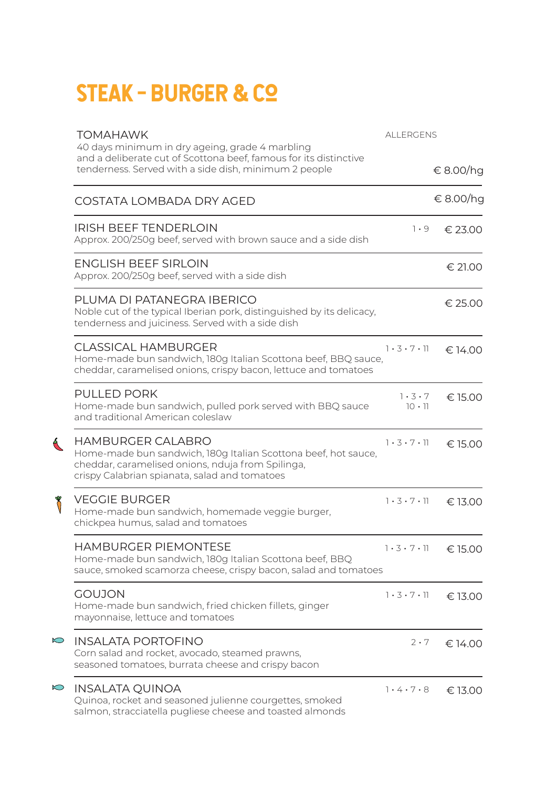# STEAK - BURGER & CO

|            | <b>TOMAHAWK</b><br><b>ALLERGENS</b><br>40 days minimum in dry ageing, grade 4 marbling                                                                                                           |                                      |           |
|------------|--------------------------------------------------------------------------------------------------------------------------------------------------------------------------------------------------|--------------------------------------|-----------|
|            | and a deliberate cut of Scottona beef, famous for its distinctive<br>tenderness. Served with a side dish, minimum 2 people                                                                       |                                      | € 8.00/hg |
|            | COSTATA LOMBADA DRY AGED                                                                                                                                                                         |                                      | € 8.00/hg |
|            | <b>IRISH BEEF TENDERLOIN</b><br>Approx. 200/250g beef, served with brown sauce and a side dish                                                                                                   | $1 \cdot 9$                          | € 23.00   |
|            | <b>ENGLISH BEEF SIRLOIN</b><br>Approx. 200/250g beef, served with a side dish                                                                                                                    |                                      | € 21.00   |
|            | PLUMA DI PATANEGRA IBERICO<br>Noble cut of the typical Iberian pork, distinguished by its delicacy,<br>tenderness and juiciness. Served with a side dish                                         |                                      | € 25.00   |
|            | <b>CLASSICAL HAMBURGER</b><br>Home-made bun sandwich, 180g Italian Scottona beef, BBQ sauce,<br>cheddar, caramelised onions, crispy bacon, lettuce and tomatoes                                  | 1.3.7.1                              | € 14.00   |
|            | PULLED PORK<br>Home-made bun sandwich, pulled pork served with BBQ sauce<br>and traditional American coleslaw                                                                                    | $1 \cdot 3 \cdot 7$<br>$10 \cdot 11$ | € 15.00   |
| $\alpha$   | <b>HAMBURGER CALABRO</b><br>Home-made bun sandwich, 180g Italian Scottona beef, hot sauce,<br>cheddar, caramelised onions, nduja from Spilinga,<br>crispy Calabrian spianata, salad and tomatoes | 1.3.7.1                              | € 15.00   |
|            | <b>VEGGIE BURGER</b><br>Home-made bun sandwich, homemade veggie burger,<br>chickpea humus, salad and tomatoes                                                                                    | 1.3.7.1                              | € 13.00   |
|            | HAMBURGER PIEMONTESE<br>Home-made bun sandwich, 180g Italian Scottona beef, BBQ<br>sauce, smoked scamorza cheese, crispy bacon, salad and tomatoes                                               | $1.3.7.11 \in 15.00$                 |           |
|            | <b>GOUJON</b><br>Home-made bun sandwich, fried chicken fillets, ginger<br>mayonnaise, lettuce and tomatoes                                                                                       | $1 \cdot 3 \cdot 7 \cdot 11$         | € 13.00   |
| $\bigcirc$ | <b>INSALATA PORTOFINO</b><br>Corn salad and rocket, avocado, steamed prawns,<br>seasoned tomatoes, burrata cheese and crispy bacon                                                               | $2 \cdot 7$                          | € 14.00   |
| $\bigcirc$ | INSALATA QUINOA<br>Quinoa, rocket and seasoned julienne courgettes, smoked<br>salmon, stracciatella pugliese cheese and toasted almonds                                                          | 1.4.7.8                              | € 13.00   |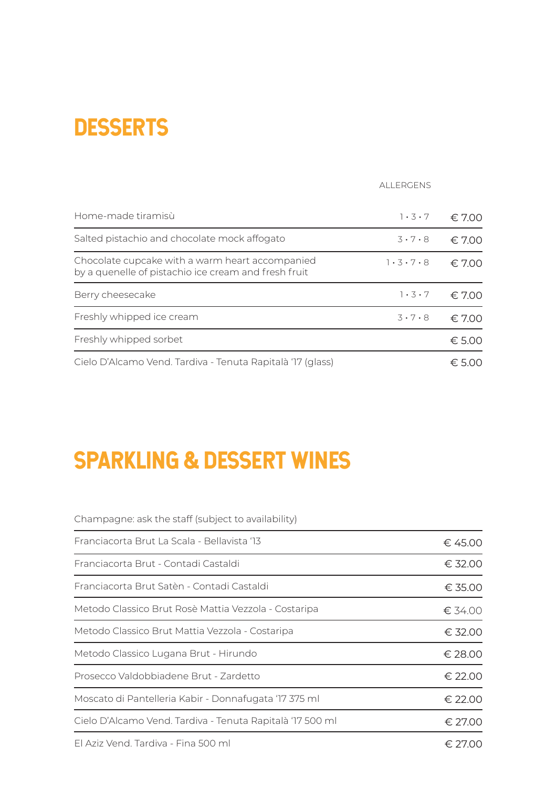### **DESSERTS**

|                                                                                                         | <b>ALLERGENS</b>    |                     |
|---------------------------------------------------------------------------------------------------------|---------------------|---------------------|
| Home-made tiramisù                                                                                      | $1 \cdot 3 \cdot 7$ | $\epsilon$ 7.00     |
| Salted pistachio and chocolate mock affogato                                                            | $3 \cdot 7 \cdot 8$ | $\epsilon$ 7.00     |
| Chocolate cupcake with a warm heart accompanied<br>by a quenelle of pistachio ice cream and fresh fruit | 1.3.7.8             | $\epsilon$ 7.00     |
| Berry cheesecake                                                                                        | $1 \cdot 3 \cdot 7$ | $\epsilon$ 7.00     |
| Freshly whipped ice cream                                                                               | $3 \cdot 7 \cdot 8$ | $\epsilon$ 7.00     |
| Freshly whipped sorbet                                                                                  |                     | € 5.00              |
| Cielo D'Alcamo Vend. Tardiva - Tenuta Rapitalà '17 (glass)                                              |                     | $\epsilon$ : 5 ()() |

# SPARKLING & DESSERT WINES

Champagne: ask the staff (subject to availability)

| Franciacorta Brut La Scala - Bellavista '13               | € 45.00         |
|-----------------------------------------------------------|-----------------|
| Franciacorta Brut - Contadi Castaldi                      | € 32.00         |
| Franciacorta Brut Satèn - Contadi Castaldi                | € 35.00         |
| Metodo Classico Brut Rosè Mattia Vezzola - Costaripa      | € 34.00         |
| Metodo Classico Brut Mattia Vezzola - Costaripa           | € 32.00         |
| Metodo Classico Lugana Brut - Hirundo                     | € 28.00         |
| Prosecco Valdobbiadene Brut - Zardetto                    | € 22.00         |
| Moscato di Pantelleria Kabir - Donnafugata '17 375 ml     | € 22.00         |
| Cielo D'Alcamo Vend. Tardiva - Tenuta Rapitalà '17 500 ml | $\epsilon$ 2700 |
|                                                           |                 |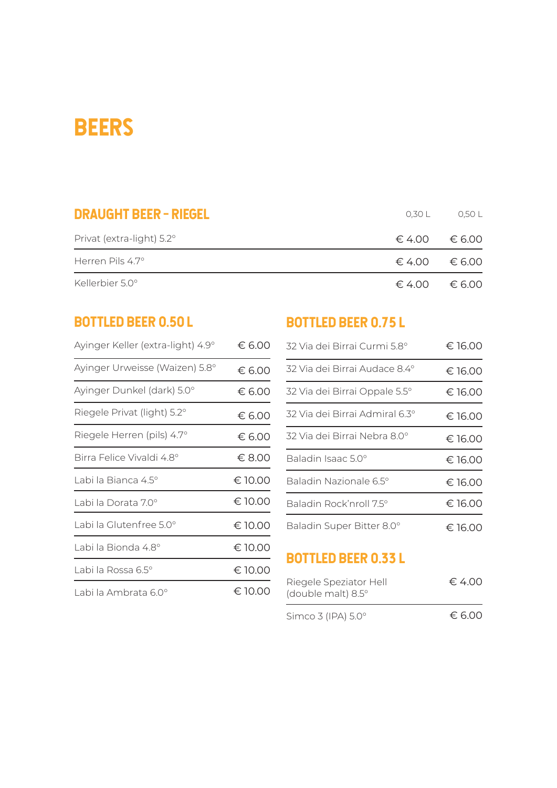### **BEERS**

| <b>DRAUGHT BEER - RIEGEL</b> | 0.30 L | 0.50 L                          |
|------------------------------|--------|---------------------------------|
| Privat (extra-light) 5.2°    |        | $6.4.00 \pm 6.00$               |
| Herren Pils $4.7^\circ$      |        | $\epsilon$ 4.00 $\epsilon$ 6.00 |
| Kellerbier 5.0°              |        | $6.4.00 \pm 6.00$               |

| Ayinger Keller (extra-light) 4.9° | € 6.00  |
|-----------------------------------|---------|
| Ayinger Urweisse (Waizen) 5.8°    | € 6.00  |
| Ayinger Dunkel (dark) 5.0°        | € 6.00  |
| Riegele Privat (light) 5.2°       | € 6.00  |
| Riegele Herren (pils) 4.7°        | € 6.00  |
| Birra Felice Vivaldi 4.8°         | € 8.00  |
| Labi la Bianca 4.5°               | € 10.00 |
| Labi la Dorata 7.0°               | € 10.00 |
| Labi la Glutenfree 5.0°           | € 10.00 |
| Labi la Bionda 4.8°               | € 10.00 |
| Labi la Rossa 6.5°                | € 10.00 |
| Labi la Ambrata 6.0°              | € 10.00 |

#### BOTTLED BEER 0.50 L BOTTLED BEER 0.75 L

| € 6.00  | 32 Via dei Birrai Curmi 5.8°   | € 16.00 |
|---------|--------------------------------|---------|
| € 6.00  | 32 Via dei Birrai Audace 8.4°  | € 16.00 |
| € 6.00  | 32 Via dei Birrai Oppale 5.5°  | € 16.00 |
| € 6.00  | 32 Via dei Birrai Admiral 6.3° | € 16.00 |
| € 6.00  | 32 Via dei Birrai Nebra 8.0°   | € 16.00 |
| € 8.00  | Baladin Isaac 5.0°             | € 16.00 |
| € 10.00 | Baladin Nazionale 6.5°         | € 16.00 |
| € 10.00 | Baladin Rock'nroll 7.5°        | € 16.00 |
| € 10.00 | Baladin Super Bitter 8.0°      | € 16.00 |

#### BOTTLED BEER 0.33 l

| Riegele Speziator Hell<br>(double malt) 8.5° | € 4.00 |
|----------------------------------------------|--------|
| Simco 3 (IPA) 5.0°                           | € 6.00 |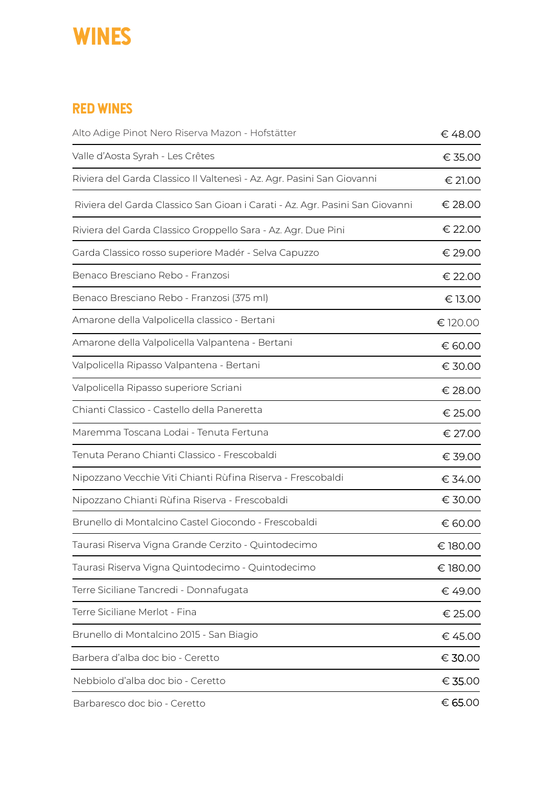### **WINES**

#### Red wines

| Alto Adige Pinot Nero Riserva Mazon - Hofstätter                             | € 48.00  |
|------------------------------------------------------------------------------|----------|
| Valle d'Aosta Syrah - Les Crêtes                                             | € 35.00  |
| Riviera del Garda Classico II Valtenesì - Az. Agr. Pasini San Giovanni       | € 21.00  |
| Riviera del Garda Classico San Gioan i Carati - Az. Agr. Pasini San Giovanni | € 28.00  |
| Riviera del Garda Classico Groppello Sara - Az. Agr. Due Pini                | € 22.00  |
| Garda Classico rosso superiore Madér - Selva Capuzzo                         | € 29.00  |
| Benaco Bresciano Rebo - Franzosi                                             | € 22.00  |
| Benaco Bresciano Rebo - Franzosi (375 ml)                                    | € 13.00  |
| Amarone della Valpolicella classico - Bertani                                | € 120.00 |
| Amarone della Valpolicella Valpantena - Bertani                              | € 60.00  |
| Valpolicella Ripasso Valpantena - Bertani                                    | € 30.00  |
| Valpolicella Ripasso superiore Scriani                                       | € 28.00  |
| Chianti Classico - Castello della Paneretta                                  | € 25.00  |
| Maremma Toscana Lodai - Tenuta Fertuna                                       | € 27.00  |
| Tenuta Perano Chianti Classico - Frescobaldi                                 | € 39.00  |
| Nipozzano Vecchie Viti Chianti Rùfina Riserva - Frescobaldi                  | € 34.00  |
| Nipozzano Chianti Rùfina Riserva - Frescobaldi                               | € 30.00  |
| Brunello di Montalcino Castel Giocondo - Frescobaldi                         | € 60.00  |
| Taurasi Riserva Vigna Grande Cerzito - Quintodecimo                          | € 180.00 |
| Taurasi Riserva Vigna Quintodecimo - Quintodecimo                            | € 180.00 |
| Terre Siciliane Tancredi - Donnafugata                                       | € 49.00  |
| Terre Siciliane Merlot - Fina                                                | € 25.00  |
| Brunello di Montalcino 2015 - San Biagio                                     | € 45.00  |
| Barbera d'alba doc bio - Ceretto                                             | € 30.00  |
| Nebbiolo d'alba doc bio - Ceretto                                            | € 35.00  |
| Barbaresco doc bio - Ceretto                                                 | € 65.00  |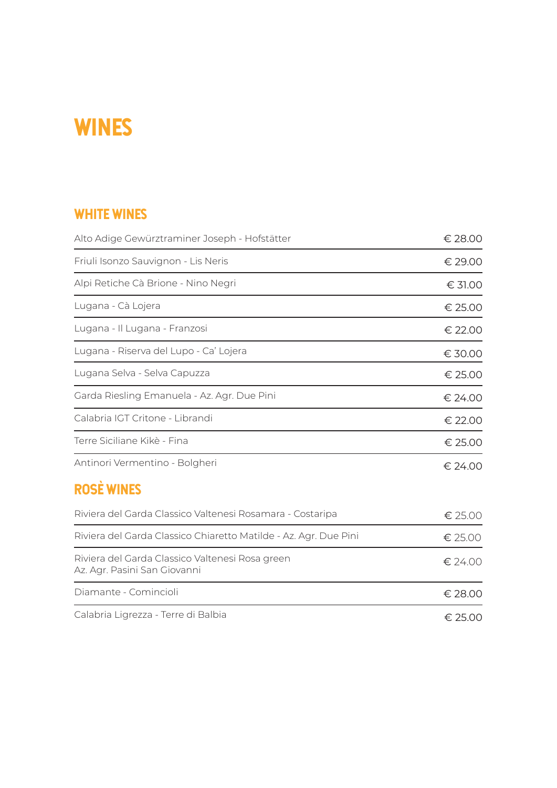### **WINES**

#### white wines

| Alto Adige Gewürztraminer Joseph - Hofstätter                                   | € 28.00          |
|---------------------------------------------------------------------------------|------------------|
| Friuli Isonzo Sauvignon - Lis Neris                                             | € 29.00          |
| Alpi Retiche Cà Brione - Nino Negri                                             | $\epsilon$ 31.00 |
| Lugana - Cà Lojera                                                              | € 25.00          |
| Lugana - Il Lugana - Franzosi                                                   | € 22.00          |
| Lugana - Riserva del Lupo - Ca' Lojera                                          | € 30.00          |
| Lugana Selva - Selva Capuzza                                                    | € 25.00          |
| Garda Riesling Emanuela - Az. Agr. Due Pini                                     | € 24.00          |
| Calabria IGT Critone - Librandi                                                 | € 22.00          |
| Terre Siciliane Kikè - Fina                                                     | € 25.00          |
| Antinori Vermentino - Bolgheri                                                  | € 24.00          |
| <b>ROSE WINES</b>                                                               |                  |
| Riviera del Garda Classico Valtenesi Rosamara - Costaripa                       | € 25.00          |
| Riviera del Garda Classico Chiaretto Matilde - Az. Agr. Due Pini                | € 25.00          |
| Riviera del Garda Classico Valtenesi Rosa green<br>Az. Agr. Pasini San Giovanni | € 24.00          |
| Diamante - Comincioli                                                           | € 28.00          |
| Calabria Ligrezza - Terre di Balbia                                             | € 25.00          |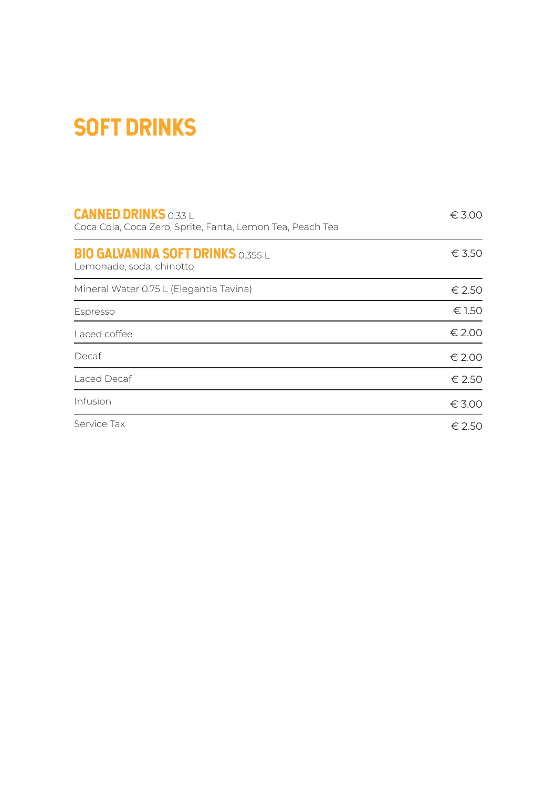### SOFT DRINKS

| <b>CANNED DRINKS 0.33 L</b><br>Coca Cola, Coca Zero, Sprite, Fanta, Lemon Tea, Peach Tea | $\epsilon$ 3.00 |
|------------------------------------------------------------------------------------------|-----------------|
| <b>BIO GALVANINA SOFT DRINKS 0.355 L</b><br>Lemonade, soda, chinotto                     | $\epsilon$ 3.50 |
| Mineral Water 0.75 L (Elegantia Tavina)                                                  | € 2.50          |
| Espresso                                                                                 | € 1.50          |
| Laced coffee                                                                             | € 2.00          |
| Decaf                                                                                    | € 2.00          |
| Laced Decaf                                                                              | € 2.50          |
| Infusion                                                                                 | € 3.00          |
| Service Tax                                                                              | € 2.50          |